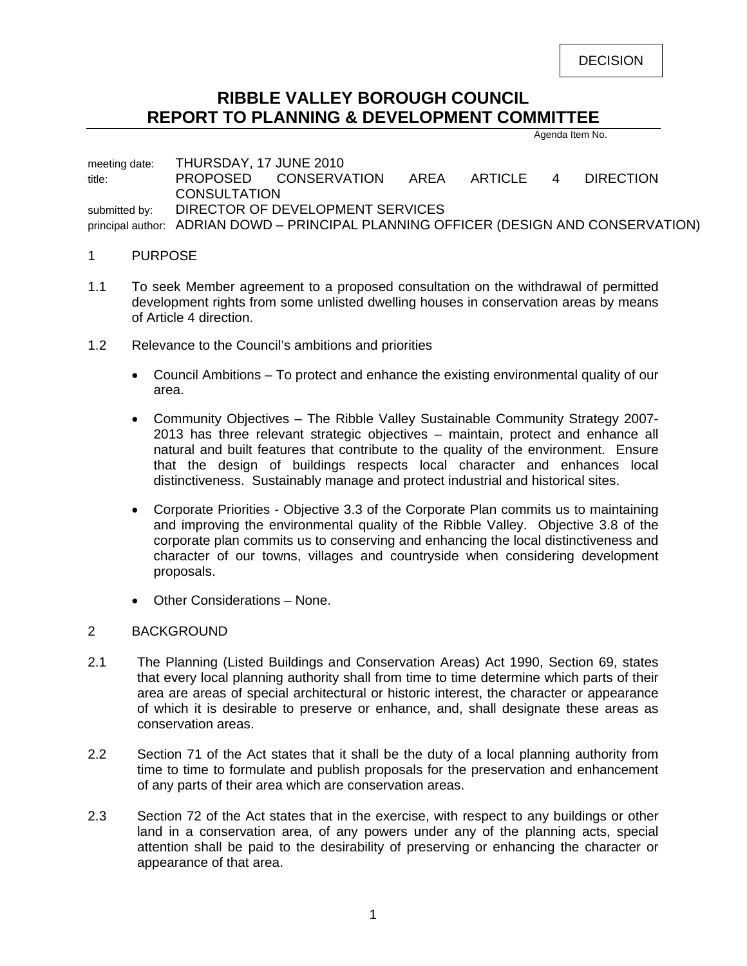DECISION

# **RIBBLE VALLEY BOROUGH COUNCIL REPORT TO PLANNING & DEVELOPMENT COMMITTEE**

Agenda Item No.

meeting date: THURSDAY, 17 JUNE 2010 title: PROPOSED CONSERVATION AREA ARTICLE 4 DIRECTION **CONSULTATION** submitted by: DIRECTOR OF DEVELOPMENT SERVICES principal author: ADRIAN DOWD – PRINCIPAL PLANNING OFFICER (DESIGN AND CONSERVATION)

#### 1 PURPOSE

- 1.1 To seek Member agreement to a proposed consultation on the withdrawal of permitted development rights from some unlisted dwelling houses in conservation areas by means of Article 4 direction.
- 1.2 Relevance to the Council's ambitions and priorities
	- Council Ambitions To protect and enhance the existing environmental quality of our area.
	- Community Objectives The Ribble Valley Sustainable Community Strategy 2007- 2013 has three relevant strategic objectives – maintain, protect and enhance all natural and built features that contribute to the quality of the environment. Ensure that the design of buildings respects local character and enhances local distinctiveness. Sustainably manage and protect industrial and historical sites.
	- Corporate Priorities Objective 3.3 of the Corporate Plan commits us to maintaining and improving the environmental quality of the Ribble Valley. Objective 3.8 of the corporate plan commits us to conserving and enhancing the local distinctiveness and character of our towns, villages and countryside when considering development proposals.
	- Other Considerations None.

### 2 BACKGROUND

- 2.1 The Planning (Listed Buildings and Conservation Areas) Act 1990, Section 69, states that every local planning authority shall from time to time determine which parts of their area are areas of special architectural or historic interest, the character or appearance of which it is desirable to preserve or enhance, and, shall designate these areas as conservation areas.
- 2.2 Section 71 of the Act states that it shall be the duty of a local planning authority from time to time to formulate and publish proposals for the preservation and enhancement of any parts of their area which are conservation areas.
- 2.3 Section 72 of the Act states that in the exercise, with respect to any buildings or other land in a conservation area, of any powers under any of the planning acts, special attention shall be paid to the desirability of preserving or enhancing the character or appearance of that area.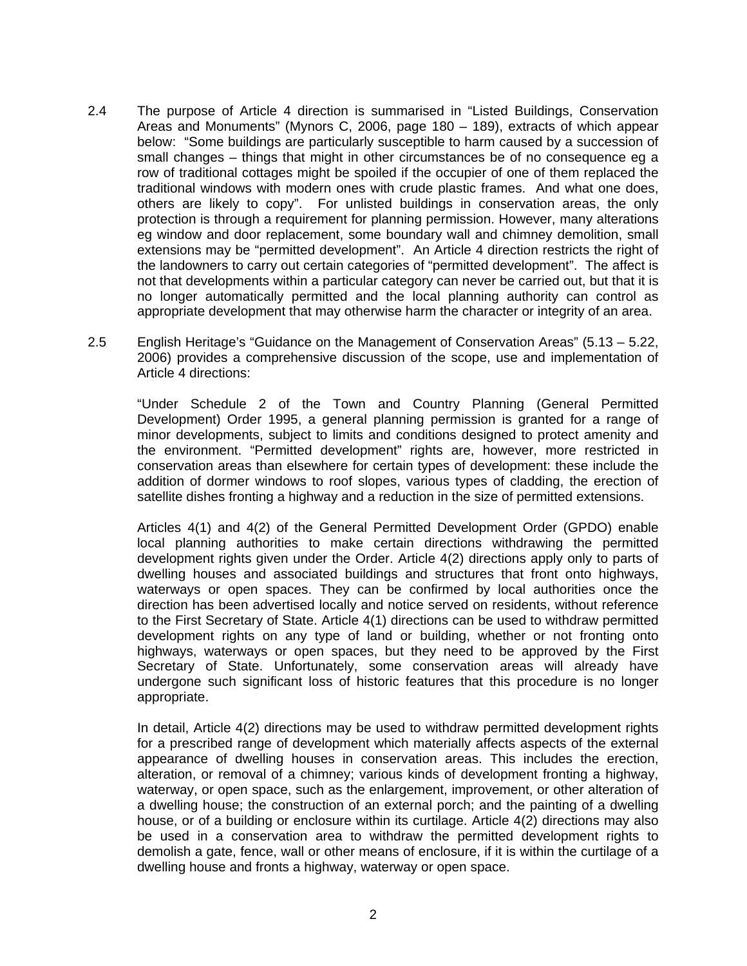- 2.4 The purpose of Article 4 direction is summarised in "Listed Buildings, Conservation Areas and Monuments" (Mynors C, 2006, page 180 – 189), extracts of which appear below: "Some buildings are particularly susceptible to harm caused by a succession of small changes – things that might in other circumstances be of no consequence eg a row of traditional cottages might be spoiled if the occupier of one of them replaced the traditional windows with modern ones with crude plastic frames. And what one does, others are likely to copy". For unlisted buildings in conservation areas, the only protection is through a requirement for planning permission. However, many alterations eg window and door replacement, some boundary wall and chimney demolition, small extensions may be "permitted development". An Article 4 direction restricts the right of the landowners to carry out certain categories of "permitted development". The affect is not that developments within a particular category can never be carried out, but that it is no longer automatically permitted and the local planning authority can control as appropriate development that may otherwise harm the character or integrity of an area.
- 2.5 English Heritage's "Guidance on the Management of Conservation Areas" (5.13 5.22, 2006) provides a comprehensive discussion of the scope, use and implementation of Article 4 directions:

 "Under Schedule 2 of the Town and Country Planning (General Permitted Development) Order 1995, a general planning permission is granted for a range of minor developments, subject to limits and conditions designed to protect amenity and the environment. "Permitted development" rights are, however, more restricted in conservation areas than elsewhere for certain types of development: these include the addition of dormer windows to roof slopes, various types of cladding, the erection of satellite dishes fronting a highway and a reduction in the size of permitted extensions.

 Articles 4(1) and 4(2) of the General Permitted Development Order (GPDO) enable local planning authorities to make certain directions withdrawing the permitted development rights given under the Order. Article 4(2) directions apply only to parts of dwelling houses and associated buildings and structures that front onto highways, waterways or open spaces. They can be confirmed by local authorities once the direction has been advertised locally and notice served on residents, without reference to the First Secretary of State. Article 4(1) directions can be used to withdraw permitted development rights on any type of land or building, whether or not fronting onto highways, waterways or open spaces, but they need to be approved by the First Secretary of State. Unfortunately, some conservation areas will already have undergone such significant loss of historic features that this procedure is no longer appropriate.

 In detail, Article 4(2) directions may be used to withdraw permitted development rights for a prescribed range of development which materially affects aspects of the external appearance of dwelling houses in conservation areas. This includes the erection, alteration, or removal of a chimney; various kinds of development fronting a highway, waterway, or open space, such as the enlargement, improvement, or other alteration of a dwelling house; the construction of an external porch; and the painting of a dwelling house, or of a building or enclosure within its curtilage. Article 4(2) directions may also be used in a conservation area to withdraw the permitted development rights to demolish a gate, fence, wall or other means of enclosure, if it is within the curtilage of a dwelling house and fronts a highway, waterway or open space.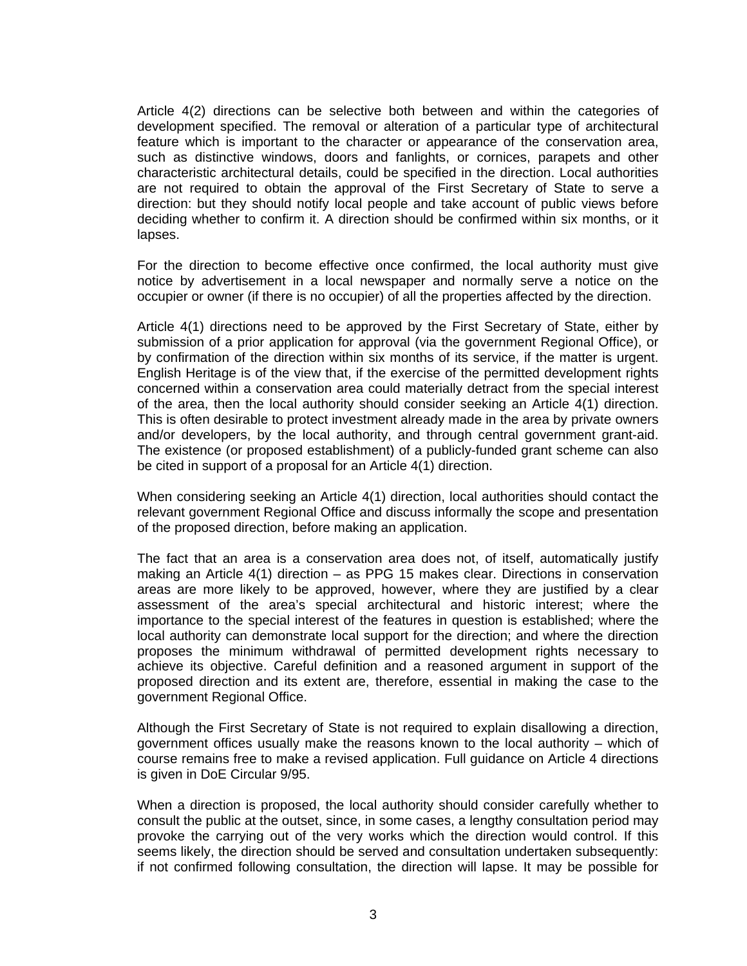Article 4(2) directions can be selective both between and within the categories of development specified. The removal or alteration of a particular type of architectural feature which is important to the character or appearance of the conservation area, such as distinctive windows, doors and fanlights, or cornices, parapets and other characteristic architectural details, could be specified in the direction. Local authorities are not required to obtain the approval of the First Secretary of State to serve a direction: but they should notify local people and take account of public views before deciding whether to confirm it. A direction should be confirmed within six months, or it lapses.

 For the direction to become effective once confirmed, the local authority must give notice by advertisement in a local newspaper and normally serve a notice on the occupier or owner (if there is no occupier) of all the properties affected by the direction.

 Article 4(1) directions need to be approved by the First Secretary of State, either by submission of a prior application for approval (via the government Regional Office), or by confirmation of the direction within six months of its service, if the matter is urgent. English Heritage is of the view that, if the exercise of the permitted development rights concerned within a conservation area could materially detract from the special interest of the area, then the local authority should consider seeking an Article 4(1) direction. This is often desirable to protect investment already made in the area by private owners and/or developers, by the local authority, and through central government grant-aid. The existence (or proposed establishment) of a publicly-funded grant scheme can also be cited in support of a proposal for an Article 4(1) direction.

 When considering seeking an Article 4(1) direction, local authorities should contact the relevant government Regional Office and discuss informally the scope and presentation of the proposed direction, before making an application.

 The fact that an area is a conservation area does not, of itself, automatically justify making an Article 4(1) direction – as PPG 15 makes clear. Directions in conservation areas are more likely to be approved, however, where they are justified by a clear assessment of the area's special architectural and historic interest; where the importance to the special interest of the features in question is established; where the local authority can demonstrate local support for the direction; and where the direction proposes the minimum withdrawal of permitted development rights necessary to achieve its objective. Careful definition and a reasoned argument in support of the proposed direction and its extent are, therefore, essential in making the case to the government Regional Office.

 Although the First Secretary of State is not required to explain disallowing a direction, government offices usually make the reasons known to the local authority – which of course remains free to make a revised application. Full guidance on Article 4 directions is given in DoE Circular 9/95.

 When a direction is proposed, the local authority should consider carefully whether to consult the public at the outset, since, in some cases, a lengthy consultation period may provoke the carrying out of the very works which the direction would control. If this seems likely, the direction should be served and consultation undertaken subsequently: if not confirmed following consultation, the direction will lapse. It may be possible for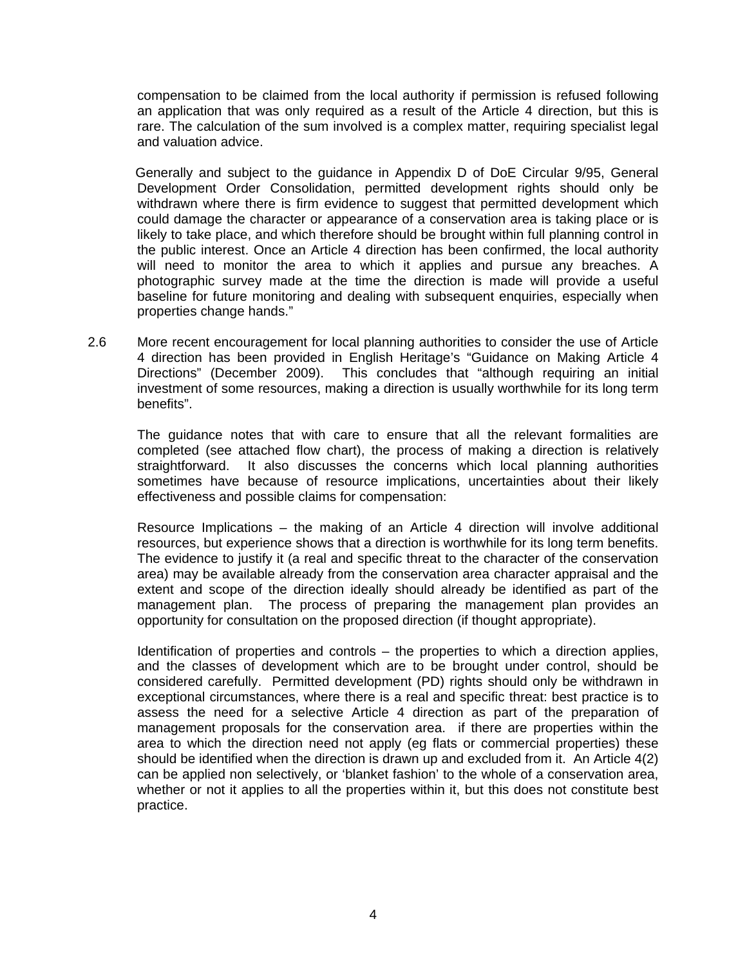compensation to be claimed from the local authority if permission is refused following an application that was only required as a result of the Article 4 direction, but this is rare. The calculation of the sum involved is a complex matter, requiring specialist legal and valuation advice.

 Generally and subject to the guidance in Appendix D of DoE Circular 9/95, General Development Order Consolidation, permitted development rights should only be withdrawn where there is firm evidence to suggest that permitted development which could damage the character or appearance of a conservation area is taking place or is likely to take place, and which therefore should be brought within full planning control in the public interest. Once an Article 4 direction has been confirmed, the local authority will need to monitor the area to which it applies and pursue any breaches. A photographic survey made at the time the direction is made will provide a useful baseline for future monitoring and dealing with subsequent enquiries, especially when properties change hands."

2.6 More recent encouragement for local planning authorities to consider the use of Article 4 direction has been provided in English Heritage's "Guidance on Making Article 4 Directions" (December 2009). This concludes that "although requiring an initial investment of some resources, making a direction is usually worthwhile for its long term benefits".

 The guidance notes that with care to ensure that all the relevant formalities are completed (see attached flow chart), the process of making a direction is relatively straightforward. It also discusses the concerns which local planning authorities sometimes have because of resource implications, uncertainties about their likely effectiveness and possible claims for compensation:

 Resource Implications – the making of an Article 4 direction will involve additional resources, but experience shows that a direction is worthwhile for its long term benefits. The evidence to justify it (a real and specific threat to the character of the conservation area) may be available already from the conservation area character appraisal and the extent and scope of the direction ideally should already be identified as part of the management plan. The process of preparing the management plan provides an opportunity for consultation on the proposed direction (if thought appropriate).

 Identification of properties and controls – the properties to which a direction applies, and the classes of development which are to be brought under control, should be considered carefully. Permitted development (PD) rights should only be withdrawn in exceptional circumstances, where there is a real and specific threat: best practice is to assess the need for a selective Article 4 direction as part of the preparation of management proposals for the conservation area. if there are properties within the area to which the direction need not apply (eg flats or commercial properties) these should be identified when the direction is drawn up and excluded from it. An Article 4(2) can be applied non selectively, or 'blanket fashion' to the whole of a conservation area, whether or not it applies to all the properties within it, but this does not constitute best practice.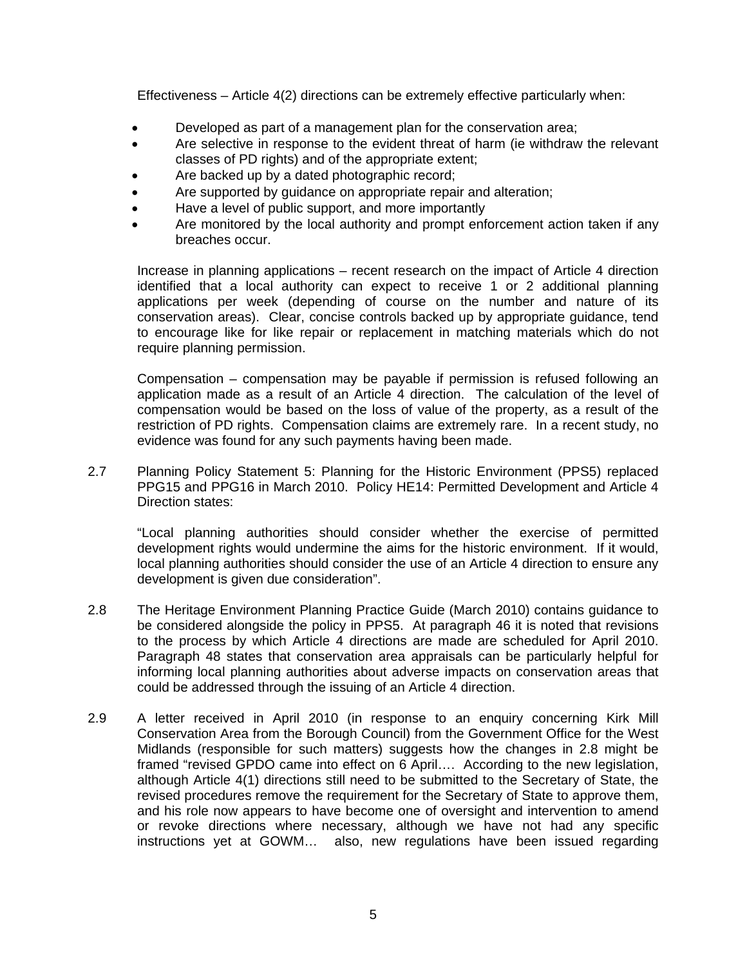Effectiveness – Article 4(2) directions can be extremely effective particularly when:

- Developed as part of a management plan for the conservation area;
- Are selective in response to the evident threat of harm (ie withdraw the relevant classes of PD rights) and of the appropriate extent;
- Are backed up by a dated photographic record;
- Are supported by guidance on appropriate repair and alteration;
- Have a level of public support, and more importantly
- Are monitored by the local authority and prompt enforcement action taken if any breaches occur.

 Increase in planning applications – recent research on the impact of Article 4 direction identified that a local authority can expect to receive 1 or 2 additional planning applications per week (depending of course on the number and nature of its conservation areas). Clear, concise controls backed up by appropriate guidance, tend to encourage like for like repair or replacement in matching materials which do not require planning permission.

 Compensation – compensation may be payable if permission is refused following an application made as a result of an Article 4 direction. The calculation of the level of compensation would be based on the loss of value of the property, as a result of the restriction of PD rights. Compensation claims are extremely rare. In a recent study, no evidence was found for any such payments having been made.

2.7 Planning Policy Statement 5: Planning for the Historic Environment (PPS5) replaced PPG15 and PPG16 in March 2010. Policy HE14: Permitted Development and Article 4 Direction states:

 "Local planning authorities should consider whether the exercise of permitted development rights would undermine the aims for the historic environment. If it would, local planning authorities should consider the use of an Article 4 direction to ensure any development is given due consideration".

- 2.8 The Heritage Environment Planning Practice Guide (March 2010) contains guidance to be considered alongside the policy in PPS5. At paragraph 46 it is noted that revisions to the process by which Article 4 directions are made are scheduled for April 2010. Paragraph 48 states that conservation area appraisals can be particularly helpful for informing local planning authorities about adverse impacts on conservation areas that could be addressed through the issuing of an Article 4 direction.
- 2.9 A letter received in April 2010 (in response to an enquiry concerning Kirk Mill Conservation Area from the Borough Council) from the Government Office for the West Midlands (responsible for such matters) suggests how the changes in 2.8 might be framed "revised GPDO came into effect on 6 April…. According to the new legislation, although Article 4(1) directions still need to be submitted to the Secretary of State, the revised procedures remove the requirement for the Secretary of State to approve them, and his role now appears to have become one of oversight and intervention to amend or revoke directions where necessary, although we have not had any specific instructions yet at GOWM… also, new regulations have been issued regarding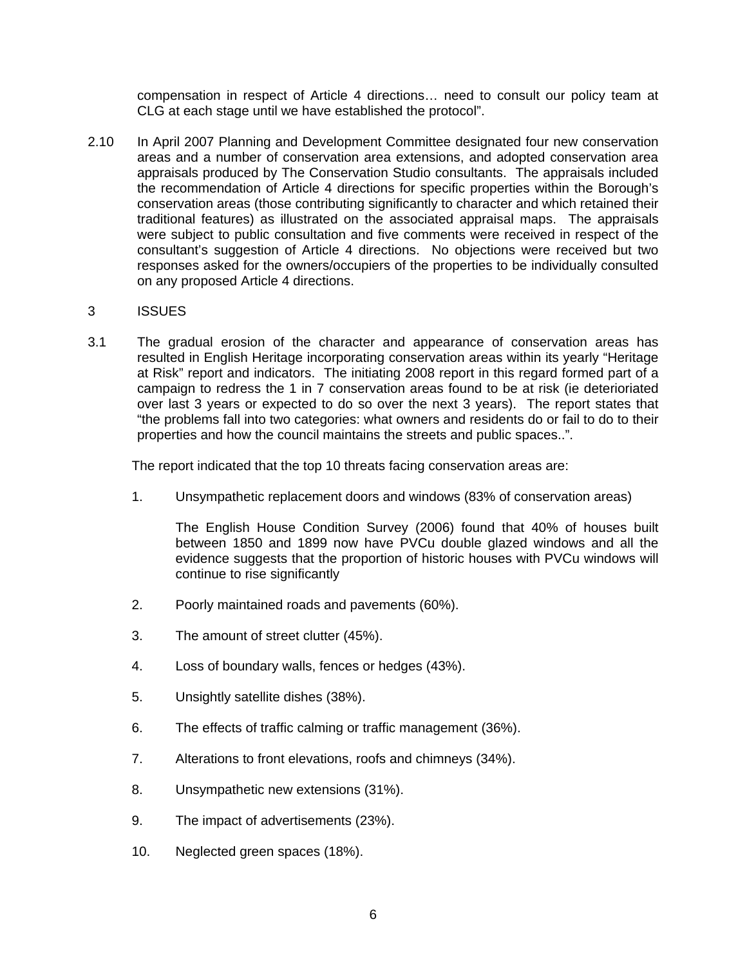compensation in respect of Article 4 directions… need to consult our policy team at CLG at each stage until we have established the protocol".

2.10 In April 2007 Planning and Development Committee designated four new conservation areas and a number of conservation area extensions, and adopted conservation area appraisals produced by The Conservation Studio consultants. The appraisals included the recommendation of Article 4 directions for specific properties within the Borough's conservation areas (those contributing significantly to character and which retained their traditional features) as illustrated on the associated appraisal maps. The appraisals were subject to public consultation and five comments were received in respect of the consultant's suggestion of Article 4 directions. No objections were received but two responses asked for the owners/occupiers of the properties to be individually consulted on any proposed Article 4 directions.

#### 3 ISSUES

3.1 The gradual erosion of the character and appearance of conservation areas has resulted in English Heritage incorporating conservation areas within its yearly "Heritage at Risk" report and indicators. The initiating 2008 report in this regard formed part of a campaign to redress the 1 in 7 conservation areas found to be at risk (ie deterioriated over last 3 years or expected to do so over the next 3 years). The report states that "the problems fall into two categories: what owners and residents do or fail to do to their properties and how the council maintains the streets and public spaces..".

The report indicated that the top 10 threats facing conservation areas are:

1. Unsympathetic replacement doors and windows (83% of conservation areas)

 The English House Condition Survey (2006) found that 40% of houses built between 1850 and 1899 now have PVCu double glazed windows and all the evidence suggests that the proportion of historic houses with PVCu windows will continue to rise significantly

- 2. Poorly maintained roads and pavements (60%).
- 3. The amount of street clutter (45%).
- 4. Loss of boundary walls, fences or hedges (43%).
- 5. Unsightly satellite dishes (38%).
- 6. The effects of traffic calming or traffic management (36%).
- 7. Alterations to front elevations, roofs and chimneys (34%).
- 8. Unsympathetic new extensions (31%).
- 9. The impact of advertisements (23%).
- 10. Neglected green spaces (18%).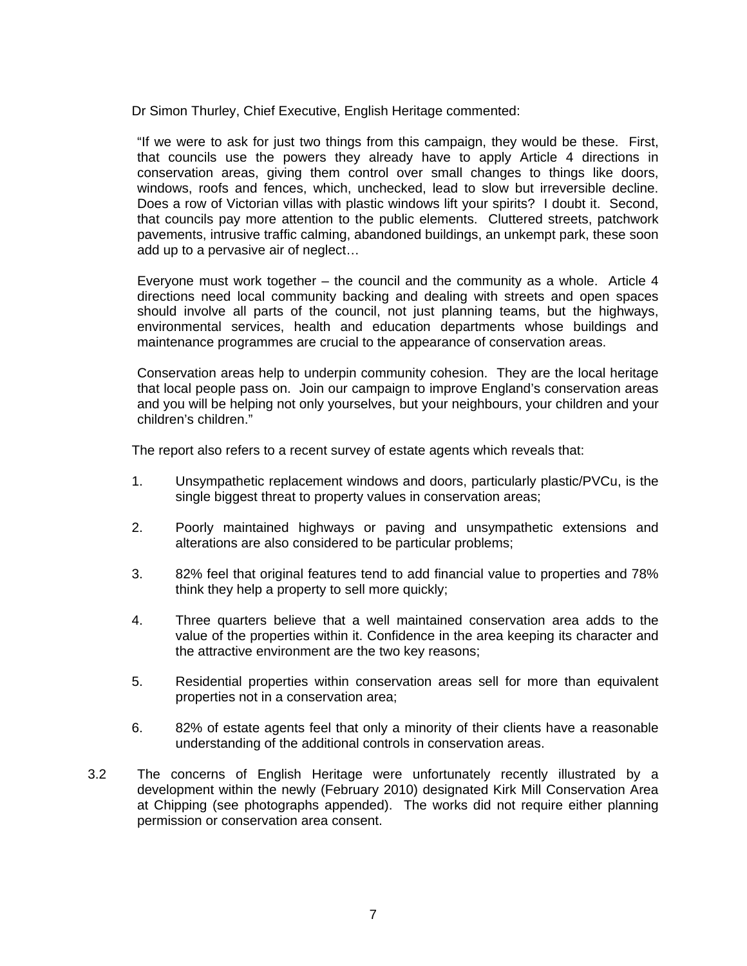Dr Simon Thurley, Chief Executive, English Heritage commented:

 "If we were to ask for just two things from this campaign, they would be these. First, that councils use the powers they already have to apply Article 4 directions in conservation areas, giving them control over small changes to things like doors, windows, roofs and fences, which, unchecked, lead to slow but irreversible decline. Does a row of Victorian villas with plastic windows lift your spirits? I doubt it. Second, that councils pay more attention to the public elements. Cluttered streets, patchwork pavements, intrusive traffic calming, abandoned buildings, an unkempt park, these soon add up to a pervasive air of neglect…

 Everyone must work together – the council and the community as a whole. Article 4 directions need local community backing and dealing with streets and open spaces should involve all parts of the council, not just planning teams, but the highways, environmental services, health and education departments whose buildings and maintenance programmes are crucial to the appearance of conservation areas.

 Conservation areas help to underpin community cohesion. They are the local heritage that local people pass on. Join our campaign to improve England's conservation areas and you will be helping not only yourselves, but your neighbours, your children and your children's children."

The report also refers to a recent survey of estate agents which reveals that:

- 1. Unsympathetic replacement windows and doors, particularly plastic/PVCu, is the single biggest threat to property values in conservation areas;
- 2. Poorly maintained highways or paving and unsympathetic extensions and alterations are also considered to be particular problems;
- 3. 82% feel that original features tend to add financial value to properties and 78% think they help a property to sell more quickly;
- 4. Three quarters believe that a well maintained conservation area adds to the value of the properties within it. Confidence in the area keeping its character and the attractive environment are the two key reasons;
- 5. Residential properties within conservation areas sell for more than equivalent properties not in a conservation area;
- 6. 82% of estate agents feel that only a minority of their clients have a reasonable understanding of the additional controls in conservation areas.
- 3.2 The concerns of English Heritage were unfortunately recently illustrated by a development within the newly (February 2010) designated Kirk Mill Conservation Area at Chipping (see photographs appended). The works did not require either planning permission or conservation area consent.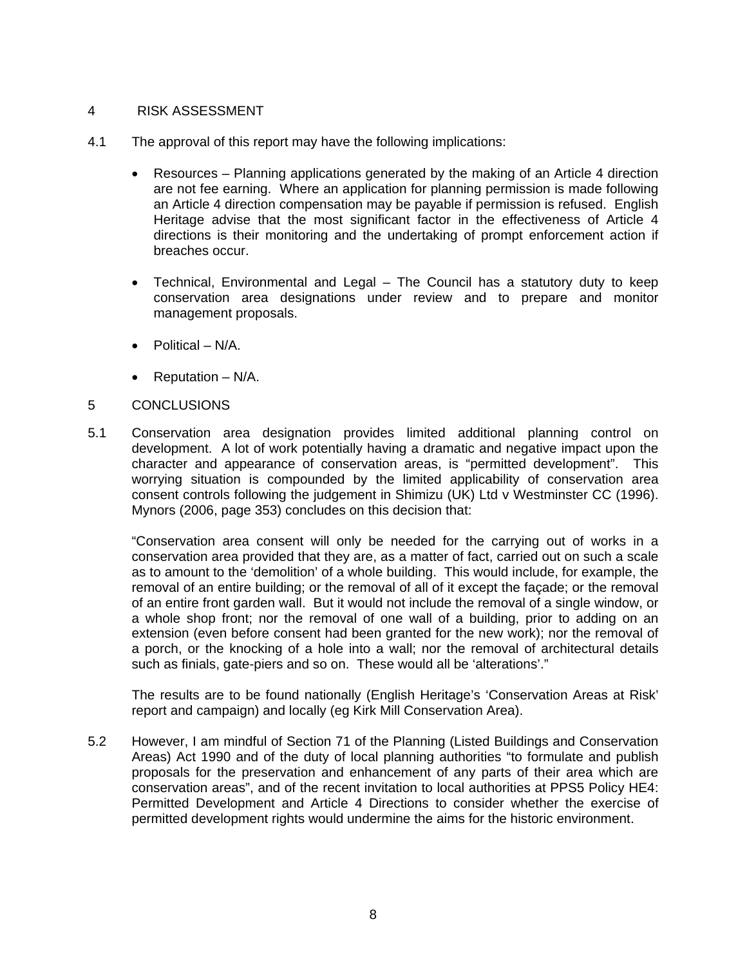#### 4 RISK ASSESSMENT

- 4.1 The approval of this report may have the following implications:
	- Resources Planning applications generated by the making of an Article 4 direction are not fee earning. Where an application for planning permission is made following an Article 4 direction compensation may be payable if permission is refused. English Heritage advise that the most significant factor in the effectiveness of Article 4 directions is their monitoring and the undertaking of prompt enforcement action if breaches occur.
	- Technical, Environmental and Legal The Council has a statutory duty to keep conservation area designations under review and to prepare and monitor management proposals.
	- Political N/A.
	- Reputation N/A.

#### 5 CONCLUSIONS

5.1 Conservation area designation provides limited additional planning control on development. A lot of work potentially having a dramatic and negative impact upon the character and appearance of conservation areas, is "permitted development". This worrying situation is compounded by the limited applicability of conservation area consent controls following the judgement in Shimizu (UK) Ltd v Westminster CC (1996). Mynors (2006, page 353) concludes on this decision that:

 "Conservation area consent will only be needed for the carrying out of works in a conservation area provided that they are, as a matter of fact, carried out on such a scale as to amount to the 'demolition' of a whole building. This would include, for example, the removal of an entire building; or the removal of all of it except the façade; or the removal of an entire front garden wall. But it would not include the removal of a single window, or a whole shop front; nor the removal of one wall of a building, prior to adding on an extension (even before consent had been granted for the new work); nor the removal of a porch, or the knocking of a hole into a wall; nor the removal of architectural details such as finials, gate-piers and so on. These would all be 'alterations'."

 The results are to be found nationally (English Heritage's 'Conservation Areas at Risk' report and campaign) and locally (eg Kirk Mill Conservation Area).

5.2 However, I am mindful of Section 71 of the Planning (Listed Buildings and Conservation Areas) Act 1990 and of the duty of local planning authorities "to formulate and publish proposals for the preservation and enhancement of any parts of their area which are conservation areas", and of the recent invitation to local authorities at PPS5 Policy HE4: Permitted Development and Article 4 Directions to consider whether the exercise of permitted development rights would undermine the aims for the historic environment.